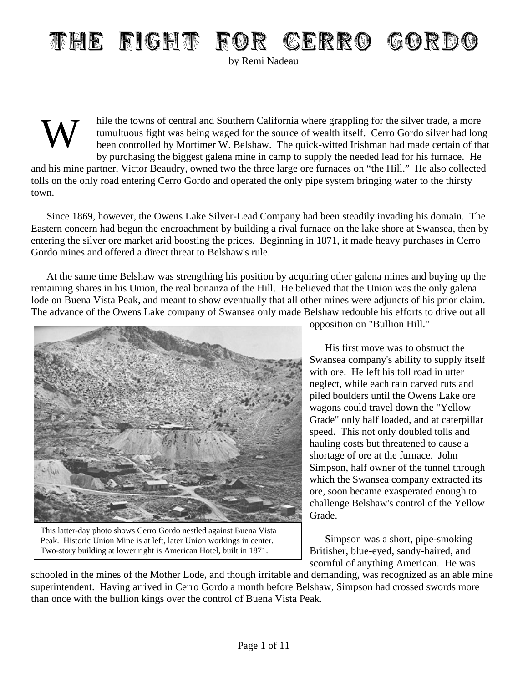## THE FIGHT FOR CERRO GORDO

by Remi Nadeau

W hile the towns of central and Southern California where grappling for the silver trade, a more tumultuous fight was being waged for the source of wealth itself. Cerro Gordo silver had long been controlled by Mortimer W. Belshaw. The quick-witted Irishman had made certain of that by purchasing the biggest galena mine in camp to supply the needed lead for his furnace. He and his mine partner, Victor Beaudry, owned two the three large ore furnaces on "the Hill." He also collected tolls on the only road entering Cerro Gordo and operated the only pipe system bringing water to the thirsty town.

Since 1869, however, the Owens Lake Silver-Lead Company had been steadily invading his domain. The Eastern concern had begun the encroachment by building a rival furnace on the lake shore at Swansea, then by entering the silver ore market arid boosting the prices. Beginning in 1871, it made heavy purchases in Cerro Gordo mines and offered a direct threat to Belshaw's rule.

At the same time Belshaw was strengthing his position by acquiring other galena mines and buying up the remaining shares in his Union, the real bonanza of the Hill. He believed that the Union was the only galena lode on Buena Vista Peak, and meant to show eventually that all other mines were adjuncts of his prior claim. The advance of the Owens Lake company of Swansea only made Belshaw redouble his efforts to drive out all



This latter-day photo shows Cerro Gordo nestled against Buena Vista Peak. Historic Union Mine is at left, later Union workings in center. Two-story building at lower right is American Hotel, built in 1871.

opposition on "Bullion Hill."

His first move was to obstruct the Swansea company's ability to supply itself with ore. He left his toll road in utter neglect, while each rain carved ruts and piled boulders until the Owens Lake ore wagons could travel down the "Yellow Grade" only half loaded, and at caterpillar speed. This not only doubled tolls and hauling costs but threatened to cause a shortage of ore at the furnace. John Simpson, half owner of the tunnel through which the Swansea company extracted its ore, soon became exasperated enough to challenge Belshaw's control of the Yellow Grade.

Simpson was a short, pipe-smoking Britisher, blue-eyed, sandy-haired, and scornful of anything American. He was

schooled in the mines of the Mother Lode, and though irritable and demanding, was recognized as an able mine superintendent. Having arrived in Cerro Gordo a month before Belshaw, Simpson had crossed swords more than once with the bullion kings over the control of Buena Vista Peak.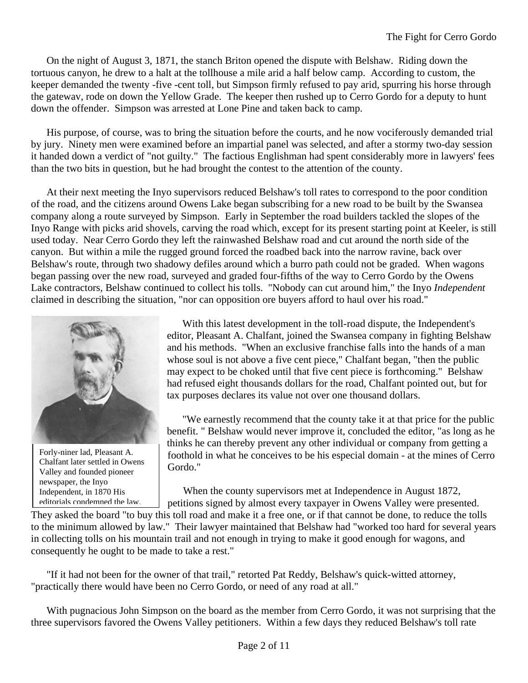On the night of August 3, 1871, the stanch Briton opened the dispute with Belshaw. Riding down the tortuous canyon, he drew to a halt at the tollhouse a mile arid a half below camp. According to custom, the keeper demanded the twenty -five -cent toll, but Simpson firmly refused to pay arid, spurring his horse through the gatewav, rode on down the Yellow Grade. The keeper then rushed up to Cerro Gordo for a deputy to hunt down the offender. Simpson was arrested at Lone Pine and taken back to camp.

His purpose, of course, was to bring the situation before the courts, and he now vociferously demanded trial by jury. Ninety men were examined before an impartial panel was selected, and after a stormy two-day session it handed down a verdict of "not guilty." The factious Englishman had spent considerably more in lawyers' fees than the two bits in question, but he had brought the contest to the attention of the county.

At their next meeting the Inyo supervisors reduced Belshaw's toll rates to correspond to the poor condition of the road, and the citizens around Owens Lake began subscribing for a new road to be built by the Swansea company along a route surveyed by Simpson. Early in September the road builders tackled the slopes of the Inyo Range with picks arid shovels, carving the road which, except for its present starting point at Keeler, is still used today. Near Cerro Gordo they left the rainwashed Belshaw road and cut around the north side of the canyon. But within a mile the rugged ground forced the roadbed back into the narrow ravine, back over Belshaw's route, through two shadowy defiles around which a burro path could not be graded. When wagons began passing over the new road, surveyed and graded four-fifths of the way to Cerro Gordo by the Owens Lake contractors, Belshaw continued to collect his tolls. "Nobody can cut around him," the Inyo *Independent* claimed in describing the situation, "nor can opposition ore buyers afford to haul over his road."



Forly-niner lad, Pleasant A. Chalfant later settled in Owens Valley and founded pioneer newspaper, the Inyo Independent, in 1870 His editorials condemned the law.

With this latest development in the toll-road dispute, the Independent's editor, Pleasant A. Chalfant, joined the Swansea company in fighting Belshaw and his methods. "When an exclusive franchise falls into the hands of a man whose soul is not above a five cent piece," Chalfant began, "then the public may expect to be choked until that five cent piece is forthcoming." Belshaw had refused eight thousands dollars for the road, Chalfant pointed out, but for tax purposes declares its value not over one thousand dollars.

"We earnestly recommend that the county take it at that price for the public benefit. " Belshaw would never improve it, concluded the editor, "as long as he thinks he can thereby prevent any other individual or company from getting a foothold in what he conceives to be his especial domain - at the mines of Cerro Gordo."

When the county supervisors met at Independence in August 1872, petitions signed by almost every taxpayer in Owens Valley were presented.

They asked the board "to buy this toll road and make it a free one, or if that cannot be done, to reduce the tolls to the minimum allowed by law." Their lawyer maintained that Belshaw had "worked too hard for several years in collecting tolls on his mountain trail and not enough in trying to make it good enough for wagons, and consequently he ought to be made to take a rest."

"If it had not been for the owner of that trail," retorted Pat Reddy, Belshaw's quick-witted attorney, "practically there would have been no Cerro Gordo, or need of any road at all."

With pugnacious John Simpson on the board as the member from Cerro Gordo, it was not surprising that the three supervisors favored the Owens Valley petitioners. Within a few days they reduced Belshaw's toll rate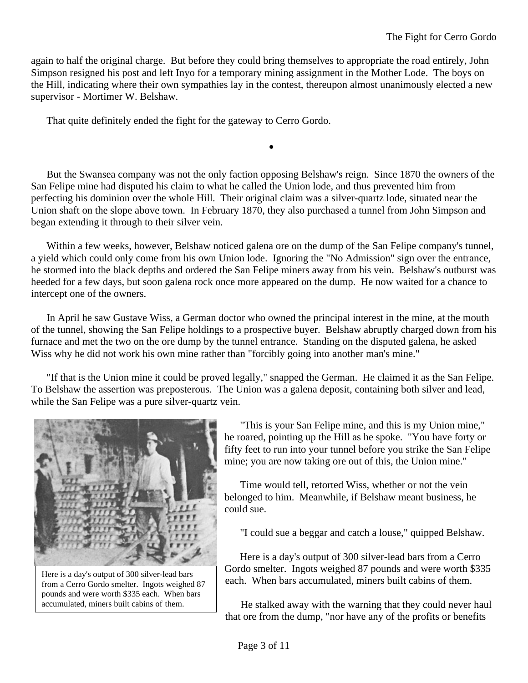again to half the original charge. But before they could bring themselves to appropriate the road entirely, John Simpson resigned his post and left Inyo for a temporary mining assignment in the Mother Lode. The boys on the Hill, indicating where their own sympathies lay in the contest, thereupon almost unanimously elected a new supervisor - Mortimer W. Belshaw.

That quite definitely ended the fight for the gateway to Cerro Gordo.

But the Swansea company was not the only faction opposing Belshaw's reign. Since 1870 the owners of the San Felipe mine had disputed his claim to what he called the Union lode, and thus prevented him from perfecting his dominion over the whole Hill. Their original claim was a silver-quartz lode, situated near the Union shaft on the slope above town. In February 1870, they also purchased a tunnel from John Simpson and began extending it through to their silver vein.

•

Within a few weeks, however, Belshaw noticed galena ore on the dump of the San Felipe company's tunnel, a yield which could only come from his own Union lode. Ignoring the "No Admission" sign over the entrance, he stormed into the black depths and ordered the San Felipe miners away from his vein. Belshaw's outburst was heeded for a few days, but soon galena rock once more appeared on the dump. He now waited for a chance to intercept one of the owners.

In April he saw Gustave Wiss, a German doctor who owned the principal interest in the mine, at the mouth of the tunnel, showing the San Felipe holdings to a prospective buyer. Belshaw abruptly charged down from his furnace and met the two on the ore dump by the tunnel entrance. Standing on the disputed galena, he asked Wiss why he did not work his own mine rather than "forcibly going into another man's mine."

"If that is the Union mine it could be proved legally," snapped the German. He claimed it as the San Felipe. To Belshaw the assertion was preposterous. The Union was a galena deposit, containing both silver and lead, while the San Felipe was a pure silver-quartz vein.



Here is a day's output of 300 silver-lead bars from a Cerro Gordo smelter. Ingots weighed 87 pounds and were worth \$335 each. When bars accumulated, miners built cabins of them.

"This is your San Felipe mine, and this is my Union mine," he roared, pointing up the Hill as he spoke. "You have forty or fifty feet to run into your tunnel before you strike the San Felipe mine; you are now taking ore out of this, the Union mine."

Time would tell, retorted Wiss, whether or not the vein belonged to him. Meanwhile, if Belshaw meant business, he could sue.

"I could sue a beggar and catch a louse," quipped Belshaw.

Here is a day's output of 300 silver-lead bars from a Cerro Gordo smelter. Ingots weighed 87 pounds and were worth \$335 each. When bars accumulated, miners built cabins of them.

He stalked away with the warning that they could never haul that ore from the dump, "nor have any of the profits or benefits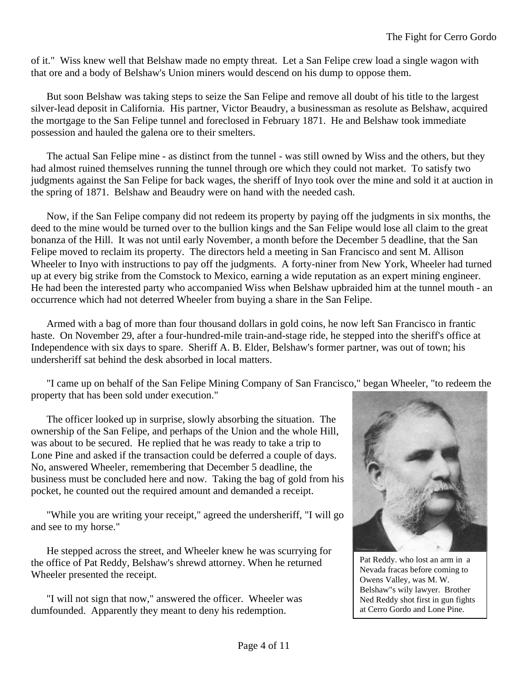of it." Wiss knew well that Belshaw made no empty threat. Let a San Felipe crew load a single wagon with that ore and a body of Belshaw's Union miners would descend on his dump to oppose them.

But soon Belshaw was taking steps to seize the San Felipe and remove all doubt of his title to the largest silver-lead deposit in California. His partner, Victor Beaudry, a businessman as resolute as Belshaw, acquired the mortgage to the San Felipe tunnel and foreclosed in February 1871. He and Belshaw took immediate possession and hauled the galena ore to their smelters.

The actual San Felipe mine - as distinct from the tunnel - was still owned by Wiss and the others, but they had almost ruined themselves running the tunnel through ore which they could not market. To satisfy two judgments against the San Felipe for back wages, the sheriff of Inyo took over the mine and sold it at auction in the spring of 1871. Belshaw and Beaudry were on hand with the needed cash.

Now, if the San Felipe company did not redeem its property by paying off the judgments in six months, the deed to the mine would be turned over to the bullion kings and the San Felipe would lose all claim to the great bonanza of the Hill. It was not until early November, a month before the December 5 deadline, that the San Felipe moved to reclaim its property. The directors held a meeting in San Francisco and sent M. Allison Wheeler to Inyo with instructions to pay off the judgments. A forty-niner from New York, Wheeler had turned up at every big strike from the Comstock to Mexico, earning a wide reputation as an expert mining engineer. He had been the interested party who accompanied Wiss when Belshaw upbraided him at the tunnel mouth - an occurrence which had not deterred Wheeler from buying a share in the San Felipe.

Armed with a bag of more than four thousand dollars in gold coins, he now left San Francisco in frantic haste. On November 29, after a four-hundred-mile train-and-stage ride, he stepped into the sheriff's office at Independence with six days to spare. Sheriff A. B. Elder, Belshaw's former partner, was out of town; his undersheriff sat behind the desk absorbed in local matters.

"I came up on behalf of the San Felipe Mining Company of San Francisco," began Wheeler, "to redeem the property that has been sold under execution."

The officer looked up in surprise, slowly absorbing the situation. The ownership of the San Felipe, and perhaps of the Union and the whole Hill, was about to be secured. He replied that he was ready to take a trip to Lone Pine and asked if the transaction could be deferred a couple of days. No, answered Wheeler, remembering that December 5 deadline, the business must be concluded here and now. Taking the bag of gold from his pocket, he counted out the required amount and demanded a receipt.

"While you are writing your receipt," agreed the undersheriff, "I will go and see to my horse."

He stepped across the street, and Wheeler knew he was scurrying for the office of Pat Reddy, Belshaw's shrewd attorney. When he returned Wheeler presented the receipt.

"I will not sign that now," answered the officer. Wheeler was dumfounded. Apparently they meant to deny his redemption.



Pat Reddy. who lost an arm in a Nevada fracas before coming to Owens Valley, was M. W. Belshaw"s wily lawyer. Brother Ned Reddy shot first in gun fights at Cerro Gordo and Lone Pine.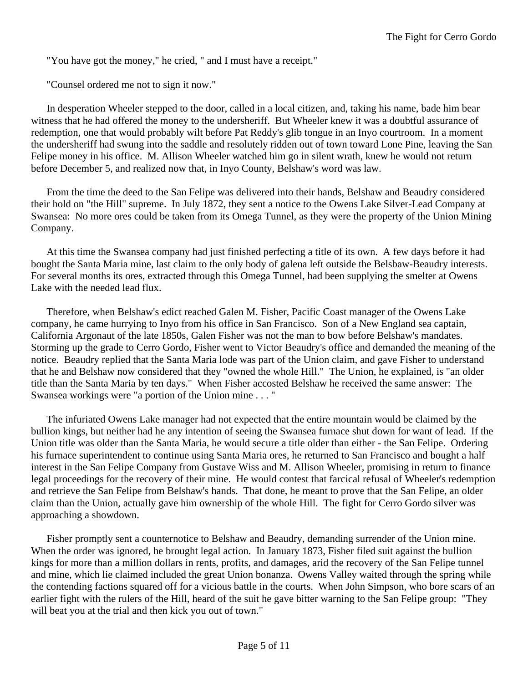"You have got the money," he cried, " and I must have a receipt."

"Counsel ordered me not to sign it now."

In desperation Wheeler stepped to the door, called in a local citizen, and, taking his name, bade him bear witness that he had offered the money to the undersheriff. But Wheeler knew it was a doubtful assurance of redemption, one that would probably wilt before Pat Reddy's glib tongue in an Inyo courtroom. In a moment the undersheriff had swung into the saddle and resolutely ridden out of town toward Lone Pine, leaving the San Felipe money in his office. M. Allison Wheeler watched him go in silent wrath, knew he would not return before December 5, and realized now that, in Inyo County, Belshaw's word was law.

From the time the deed to the San Felipe was delivered into their hands, Belshaw and Beaudry considered their hold on "the Hill" supreme. In July 1872, they sent a notice to the Owens Lake Silver-Lead Company at Swansea: No more ores could be taken from its Omega Tunnel, as they were the property of the Union Mining Company.

At this time the Swansea company had just finished perfecting a title of its own. A few days before it had bought the Santa Maria mine, last claim to the only body of galena left outside the Belsbaw-Beaudry interests. For several months its ores, extracted through this Omega Tunnel, had been supplying the smelter at Owens Lake with the needed lead flux.

Therefore, when Belshaw's edict reached Galen M. Fisher, Pacific Coast manager of the Owens Lake company, he came hurrying to Inyo from his office in San Francisco. Son of a New England sea captain, California Argonaut of the late 1850s, Galen Fisher was not the man to bow before Belshaw's mandates. Storming up the grade to Cerro Gordo, Fisher went to Victor Beaudry's office and demanded the meaning of the notice. Beaudry replied that the Santa Maria lode was part of the Union claim, and gave Fisher to understand that he and Belshaw now considered that they "owned the whole Hill." The Union, he explained, is "an older title than the Santa Maria by ten days." When Fisher accosted Belshaw he received the same answer: The Swansea workings were "a portion of the Union mine . . . "

The infuriated Owens Lake manager had not expected that the entire mountain would be claimed by the bullion kings, but neither had he any intention of seeing the Swansea furnace shut down for want of lead. If the Union title was older than the Santa Maria, he would secure a title older than either - the San Felipe. Ordering his furnace superintendent to continue using Santa Maria ores, he returned to San Francisco and bought a half interest in the San Felipe Company from Gustave Wiss and M. Allison Wheeler, promising in return to finance legal proceedings for the recovery of their mine. He would contest that farcical refusal of Wheeler's redemption and retrieve the San Felipe from Belshaw's hands. That done, he meant to prove that the San Felipe, an older claim than the Union, actually gave him ownership of the whole Hill. The fight for Cerro Gordo silver was approaching a showdown.

Fisher promptly sent a counternotice to Belshaw and Beaudry, demanding surrender of the Union mine. When the order was ignored, he brought legal action. In January 1873, Fisher filed suit against the bullion kings for more than a million dollars in rents, profits, and damages, arid the recovery of the San Felipe tunnel and mine, which lie claimed included the great Union bonanza. Owens Valley waited through the spring while the contending factions squared off for a vicious battle in the courts. When John Simpson, who bore scars of an earlier fight with the rulers of the Hill, heard of the suit he gave bitter warning to the San Felipe group: "They will beat you at the trial and then kick you out of town."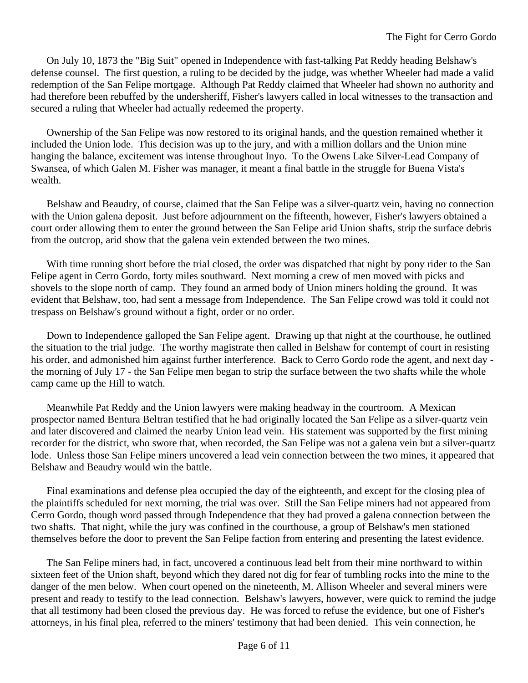On July 10, 1873 the "Big Suit" opened in Independence with fast-talking Pat Reddy heading Belshaw's defense counsel. The first question, a ruling to be decided by the judge, was whether Wheeler had made a valid redemption of the San Felipe mortgage. Although Pat Reddy claimed that Wheeler had shown no authority and had therefore been rebuffed by the undersheriff, Fisher's lawyers called in local witnesses to the transaction and secured a ruling that Wheeler had actually redeemed the property.

Ownership of the San Felipe was now restored to its original hands, and the question remained whether it included the Union lode. This decision was up to the jury, and with a million dollars and the Union mine hanging the balance, excitement was intense throughout Inyo. To the Owens Lake Silver-Lead Company of Swansea, of which Galen M. Fisher was manager, it meant a final battle in the struggle for Buena Vista's wealth.

Belshaw and Beaudry, of course, claimed that the San Felipe was a silver-quartz vein, having no connection with the Union galena deposit. Just before adjournment on the fifteenth, however, Fisher's lawyers obtained a court order allowing them to enter the ground between the San Felipe arid Union shafts, strip the surface debris from the outcrop, arid show that the galena vein extended between the two mines.

With time running short before the trial closed, the order was dispatched that night by pony rider to the San Felipe agent in Cerro Gordo, forty miles southward. Next morning a crew of men moved with picks and shovels to the slope north of camp. They found an armed body of Union miners holding the ground. It was evident that Belshaw, too, had sent a message from Independence. The San Felipe crowd was told it could not trespass on Belshaw's ground without a fight, order or no order.

Down to Independence galloped the San Felipe agent. Drawing up that night at the courthouse, he outlined the situation to the trial judge. The worthy magistrate then called in Belshaw for contempt of court in resisting his order, and admonished him against further interference. Back to Cerro Gordo rode the agent, and next day the morning of July 17 - the San Felipe men began to strip the surface between the two shafts while the whole camp came up the Hill to watch.

Meanwhile Pat Reddy and the Union lawyers were making headway in the courtroom. A Mexican prospector named Bentura Beltran testified that he had originally located the San Felipe as a silver-quartz vein and later discovered and claimed the nearby Union lead vein. His statement was supported by the first mining recorder for the district, who swore that, when recorded, the San Felipe was not a galena vein but a silver-quartz lode. Unless those San Felipe miners uncovered a lead vein connection between the two mines, it appeared that Belshaw and Beaudry would win the battle.

Final examinations and defense plea occupied the day of the eighteenth, and except for the closing plea of the plaintiffs scheduled for next morning, the trial was over. Still the San Felipe miners had not appeared from Cerro Gordo, though word passed through Independence that they had proved a galena connection between the two shafts. That night, while the jury was confined in the courthouse, a group of Belshaw's men stationed themselves before the door to prevent the San Felipe faction from entering and presenting the latest evidence.

The San Felipe miners had, in fact, uncovered a continuous lead belt from their mine northward to within sixteen feet of the Union shaft, beyond which they dared not dig for fear of tumbling rocks into the mine to the danger of the men below. When court opened on the nineteenth, M. Allison Wheeler and several miners were present and ready to testify to the lead connection. Belshaw's lawyers, however, were quick to remind the judge that all testimony had been closed the previous day. He was forced to refuse the evidence, but one of Fisher's attorneys, in his final plea, referred to the miners' testimony that had been denied. This vein connection, he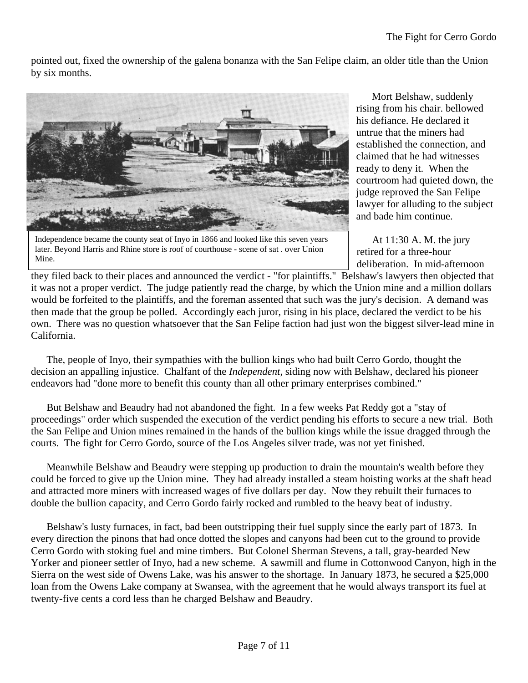pointed out, fixed the ownership of the galena bonanza with the San Felipe claim, an older title than the Union by six months.



Independence became the county seat of Inyo in 1866 and looked like this seven years later. Beyond Harris and Rhine store is roof of courthouse - scene of sat . over Union Mine.

Mort Belshaw, suddenly rising from his chair. bellowed his defiance. He declared it untrue that the miners had established the connection, and claimed that he had witnesses ready to deny it. When the courtroom had quieted down, the judge reproved the San Felipe lawyer for alluding to the subject and bade him continue.

At 11:30 A. M. the jury retired for a three-hour deliberation. In mid-afternoon

they filed back to their places and announced the verdict - "for plaintiffs." Belshaw's lawyers then objected that it was not a proper verdict. The judge patiently read the charge, by which the Union mine and a million dollars would be forfeited to the plaintiffs, and the foreman assented that such was the jury's decision. A demand was then made that the group be polled. Accordingly each juror, rising in his place, declared the verdict to be his own. There was no question whatsoever that the San Felipe faction had just won the biggest silver-lead mine in California.

The, people of Inyo, their sympathies with the bullion kings who had built Cerro Gordo, thought the decision an appalling injustice. Chalfant of the *Independent*, siding now with Belshaw, declared his pioneer endeavors had "done more to benefit this county than all other primary enterprises combined."

But Belshaw and Beaudry had not abandoned the fight. In a few weeks Pat Reddy got a "stay of proceedings" order which suspended the execution of the verdict pending his efforts to secure a new trial. Both the San Felipe and Union mines remained in the hands of the bullion kings while the issue dragged through the courts. The fight for Cerro Gordo, source of the Los Angeles silver trade, was not yet finished.

Meanwhile Belshaw and Beaudry were stepping up production to drain the mountain's wealth before they could be forced to give up the Union mine. They had already installed a steam hoisting works at the shaft head and attracted more miners with increased wages of five dollars per day. Now they rebuilt their furnaces to double the bullion capacity, and Cerro Gordo fairly rocked and rumbled to the heavy beat of industry.

Belshaw's lusty furnaces, in fact, bad been outstripping their fuel supply since the early part of 1873. In every direction the pinons that had once dotted the slopes and canyons had been cut to the ground to provide Cerro Gordo with stoking fuel and mine timbers. But Colonel Sherman Stevens, a tall, gray-bearded New Yorker and pioneer settler of Inyo, had a new scheme. A sawmill and flume in Cottonwood Canyon, high in the Sierra on the west side of Owens Lake, was his answer to the shortage. In January 1873, he secured a \$25,000 loan from the Owens Lake company at Swansea, with the agreement that he would always transport its fuel at twenty-five cents a cord less than he charged Belshaw and Beaudry.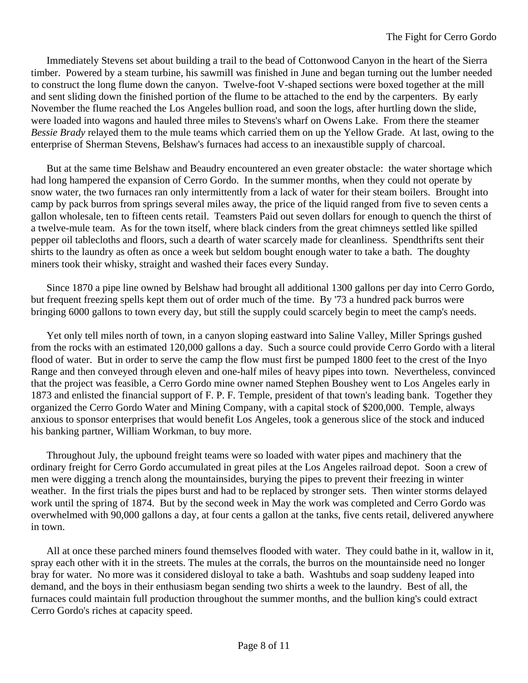Immediately Stevens set about building a trail to the bead of Cottonwood Canyon in the heart of the Sierra timber. Powered by a steam turbine, his sawmill was finished in June and began turning out the lumber needed to construct the long flume down the canyon. Twelve-foot V-shaped sections were boxed together at the mill and sent sliding down the finished portion of the flume to be attached to the end by the carpenters. By early November the flume reached the Los Angeles bullion road, and soon the logs, after hurtling down the slide, were loaded into wagons and hauled three miles to Stevens's wharf on Owens Lake. From there the steamer *Bessie Brady* relayed them to the mule teams which carried them on up the Yellow Grade. At last, owing to the enterprise of Sherman Stevens, Belshaw's furnaces had access to an inexaustible supply of charcoal.

But at the same time Belshaw and Beaudry encountered an even greater obstacle: the water shortage which had long hampered the expansion of Cerro Gordo. In the summer months, when they could not operate by snow water, the two furnaces ran only intermittently from a lack of water for their steam boilers. Brought into camp by pack burros from springs several miles away, the price of the liquid ranged from five to seven cents a gallon wholesale, ten to fifteen cents retail. Teamsters Paid out seven dollars for enough to quench the thirst of a twelve-mule team. As for the town itself, where black cinders from the great chimneys settled like spilled pepper oil tablecloths and floors, such a dearth of water scarcely made for cleanliness. Spendthrifts sent their shirts to the laundry as often as once a week but seldom bought enough water to take a bath. The doughty miners took their whisky, straight and washed their faces every Sunday.

Since 1870 a pipe line owned by Belshaw had brought all additional 1300 gallons per day into Cerro Gordo, but frequent freezing spells kept them out of order much of the time. By '73 a hundred pack burros were bringing 6000 gallons to town every day, but still the supply could scarcely begin to meet the camp's needs.

Yet only tell miles north of town, in a canyon sloping eastward into Saline Valley, Miller Springs gushed from the rocks with an estimated 120,000 gallons a day. Such a source could provide Cerro Gordo with a literal flood of water. But in order to serve the camp the flow must first be pumped 1800 feet to the crest of the Inyo Range and then conveyed through eleven and one-half miles of heavy pipes into town. Nevertheless, convinced that the project was feasible, a Cerro Gordo mine owner named Stephen Boushey went to Los Angeles early in 1873 and enlisted the financial support of F. P. F. Temple, president of that town's leading bank. Together they organized the Cerro Gordo Water and Mining Company, with a capital stock of \$200,000. Temple, always anxious to sponsor enterprises that would benefit Los Angeles, took a generous slice of the stock and induced his banking partner, William Workman, to buy more.

Throughout July, the upbound freight teams were so loaded with water pipes and machinery that the ordinary freight for Cerro Gordo accumulated in great piles at the Los Angeles railroad depot. Soon a crew of men were digging a trench along the mountainsides, burying the pipes to prevent their freezing in winter weather. In the first trials the pipes burst and had to be replaced by stronger sets. Then winter storms delayed work until the spring of 1874. But by the second week in May the work was completed and Cerro Gordo was overwhelmed with 90,000 gallons a day, at four cents a gallon at the tanks, five cents retail, delivered anywhere in town.

All at once these parched miners found themselves flooded with water. They could bathe in it, wallow in it, spray each other with it in the streets. The mules at the corrals, the burros on the mountainside need no longer bray for water. No more was it considered disloyal to take a bath. Washtubs and soap suddeny leaped into demand, and the boys in their enthusiasm began sending two shirts a week to the laundry. Best of all, the furnaces could maintain full production throughout the summer months, and the bullion king's could extract Cerro Gordo's riches at capacity speed.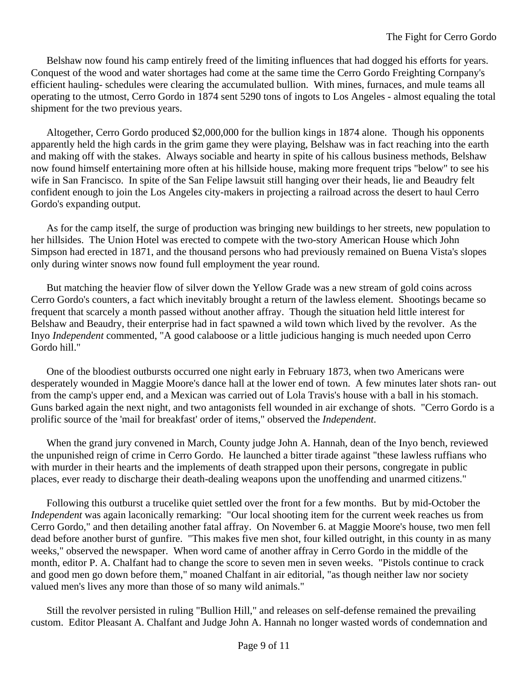Belshaw now found his camp entirely freed of the limiting influences that had dogged his efforts for years. Conquest of the wood and water shortages had come at the same time the Cerro Gordo Freighting Cornpany's efficient hauling- schedules were clearing the accumulated bullion. With mines, furnaces, and mule teams all operating to the utmost, Cerro Gordo in 1874 sent 5290 tons of ingots to Los Angeles - almost equaling the total shipment for the two previous years.

Altogether, Cerro Gordo produced \$2,000,000 for the bullion kings in 1874 alone. Though his opponents apparently held the high cards in the grim game they were playing, Belshaw was in fact reaching into the earth and making off with the stakes. Always sociable and hearty in spite of his callous business methods, Belshaw now found himself entertaining more often at his hillside house, making more frequent trips "below" to see his wife in San Francisco. In spite of the San Felipe lawsuit still hanging over their heads, lie and Beaudry felt confident enough to join the Los Angeles city-makers in projecting a railroad across the desert to haul Cerro Gordo's expanding output.

As for the camp itself, the surge of production was bringing new buildings to her streets, new population to her hillsides. The Union Hotel was erected to compete with the two-story American House which John Simpson had erected in 1871, and the thousand persons who had previously remained on Buena Vista's slopes only during winter snows now found full employment the year round.

But matching the heavier flow of silver down the Yellow Grade was a new stream of gold coins across Cerro Gordo's counters, a fact which inevitably brought a return of the lawless element. Shootings became so frequent that scarcely a month passed without another affray. Though the situation held little interest for Belshaw and Beaudry, their enterprise had in fact spawned a wild town which lived by the revolver. As the Inyo *Independent* commented, "A good calaboose or a little judicious hanging is much needed upon Cerro Gordo hill."

One of the bloodiest outbursts occurred one night early in February 1873, when two Americans were desperately wounded in Maggie Moore's dance hall at the lower end of town. A few minutes later shots ran- out from the camp's upper end, and a Mexican was carried out of Lola Travis's house with a ball in his stomach. Guns barked again the next night, and two antagonists fell wounded in air exchange of shots. "Cerro Gordo is a prolific source of the 'mail for breakfast' order of items," observed the *Independent*.

When the grand jury convened in March, County judge John A. Hannah, dean of the Inyo bench, reviewed the unpunished reign of crime in Cerro Gordo. He launched a bitter tirade against "these lawless ruffians who with murder in their hearts and the implements of death strapped upon their persons, congregate in public places, ever ready to discharge their death-dealing weapons upon the unoffending and unarmed citizens."

Following this outburst a trucelike quiet settled over the front for a few months. But by mid-October the *Independent* was again laconically remarking: "Our local shooting item for the current week reaches us from Cerro Gordo," and then detailing another fatal affray. On November 6. at Maggie Moore's house, two men fell dead before another burst of gunfire. "This makes five men shot, four killed outright, in this county in as many weeks," observed the newspaper. When word came of another affray in Cerro Gordo in the middle of the month, editor P. A. Chalfant had to change the score to seven men in seven weeks. "Pistols continue to crack and good men go down before them," moaned Chalfant in air editorial, "as though neither law nor society valued men's lives any more than those of so many wild animals."

Still the revolver persisted in ruling "Bullion Hill," and releases on self-defense remained the prevailing custom. Editor Pleasant A. Chalfant and Judge John A. Hannah no longer wasted words of condemnation and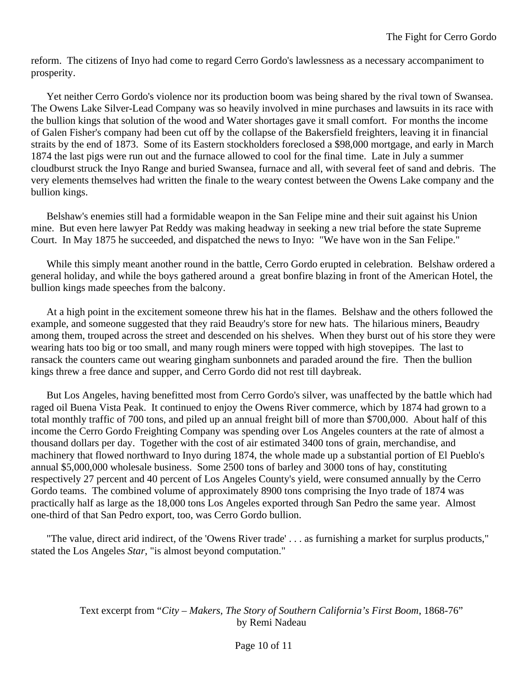reform. The citizens of Inyo had come to regard Cerro Gordo's lawlessness as a necessary accompaniment to prosperity.

Yet neither Cerro Gordo's violence nor its production boom was being shared by the rival town of Swansea. The Owens Lake Silver-Lead Company was so heavily involved in mine purchases and lawsuits in its race with the bullion kings that solution of the wood and Water shortages gave it small comfort. For months the income of Galen Fisher's company had been cut off by the collapse of the Bakersfield freighters, leaving it in financial straits by the end of 1873. Some of its Eastern stockholders foreclosed a \$98,000 mortgage, and early in March 1874 the last pigs were run out and the furnace allowed to cool for the final time. Late in July a summer cloudburst struck the Inyo Range and buried Swansea, furnace and all, with several feet of sand and debris. The very elements themselves had written the finale to the weary contest between the Owens Lake company and the bullion kings.

Belshaw's enemies still had a formidable weapon in the San Felipe mine and their suit against his Union mine. But even here lawyer Pat Reddy was making headway in seeking a new trial before the state Supreme Court. In May 1875 he succeeded, and dispatched the news to Inyo: "We have won in the San Felipe."

While this simply meant another round in the battle, Cerro Gordo erupted in celebration. Belshaw ordered a general holiday, and while the boys gathered around a great bonfire blazing in front of the American Hotel, the bullion kings made speeches from the balcony.

At a high point in the excitement someone threw his hat in the flames. Belshaw and the others followed the example, and someone suggested that they raid Beaudry's store for new hats. The hilarious miners, Beaudry among them, trouped across the street and descended on his shelves. When they burst out of his store they were wearing hats too big or too small, and many rough miners were topped with high stovepipes. The last to ransack the counters came out wearing gingham sunbonnets and paraded around the fire. Then the bullion kings threw a free dance and supper, and Cerro Gordo did not rest till daybreak.

But Los Angeles, having benefitted most from Cerro Gordo's silver, was unaffected by the battle which had raged oil Buena Vista Peak. It continued to enjoy the Owens River commerce, which by 1874 had grown to a total monthly traffic of 700 tons, and piled up an annual freight bill of more than \$700,000. About half of this income the Cerro Gordo Freighting Company was spending over Los Angeles counters at the rate of almost a thousand dollars per day. Together with the cost of air estimated 3400 tons of grain, merchandise, and machinery that flowed northward to Inyo during 1874, the whole made up a substantial portion of El Pueblo's annual \$5,000,000 wholesale business. Some 2500 tons of barley and 3000 tons of hay, constituting respectively 27 percent and 40 percent of Los Angeles County's yield, were consumed annually by the Cerro Gordo teams. The combined volume of approximately 8900 tons comprising the Inyo trade of 1874 was practically half as large as the 18,000 tons Los Angeles exported through San Pedro the same year. Almost one-third of that San Pedro export, too, was Cerro Gordo bullion.

"The value, direct arid indirect, of the 'Owens River trade' . . . as furnishing a market for surplus products," stated the Los Angeles *Star*, "is almost beyond computation."

> Text excerpt from "*City – Makers, The Story of Southern California's First Boom*, 1868-76" by Remi Nadeau